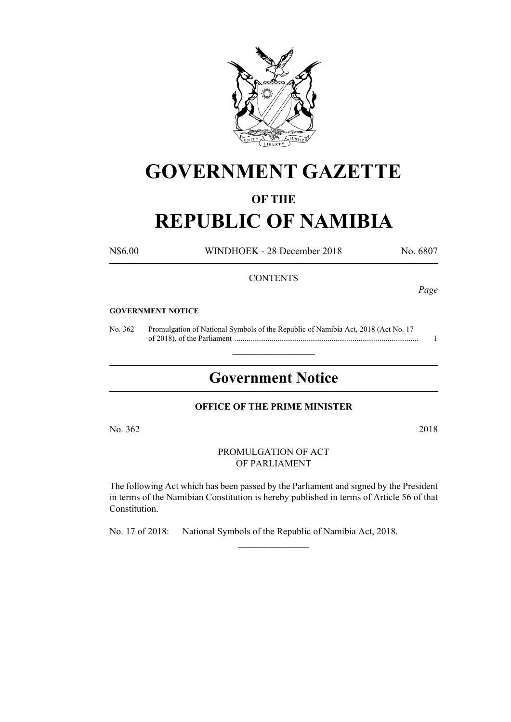

# **GOVERNMENT GAZETTE**

# **OF THE**

# **REPUBLIC OF NAMIBIA**

N\$6.00 WINDHOEK - 28 December 2018 No. 6807

# **CONTENTS**

*Page*

#### **GOVERNMENT NOTICE**

No. 362 Promulgation of National Symbols of the Republic of Namibia Act, 2018 (Act No. 17 of 2018), of the Parliament ............................................................................................... 1

# **Government Notice**

 $\frac{1}{2}$  ,  $\frac{1}{2}$  ,  $\frac{1}{2}$  ,  $\frac{1}{2}$  ,  $\frac{1}{2}$  ,  $\frac{1}{2}$  ,  $\frac{1}{2}$ 

# **OFFICE OF THE PRIME MINISTER**

No. 362 2018

PROMULGATION OF ACT OF PARLIAMENT

The following Act which has been passed by the Parliament and signed by the President in terms of the Namibian Constitution is hereby published in terms of Article 56 of that Constitution.

 $\frac{1}{2}$ 

No. 17 of 2018: National Symbols of the Republic of Namibia Act, 2018.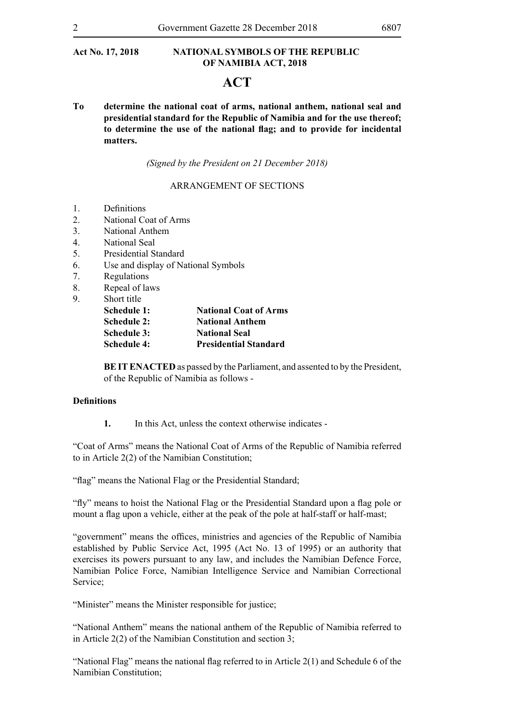# **ACT**

**To determine the national coat of arms, national anthem, national seal and presidential standard for the Republic of Namibia and for the use thereof; to determine the use of the national flag; and to provide for incidental matters.**

*(Signed by the President on 21 December 2018)*

## ARRANGEMENT OF SECTIONS

- 1. Definitions
- 2. National Coat of Arms
- 3. National Anthem
- 4. National Seal
- 5. Presidential Standard
- 6. Use and display of National Symbols
- 7. Regulations
- 8. Repeal of laws
- 9. Short title

| Schedule 1: | <b>National Coat of Arms</b> |
|-------------|------------------------------|
| Schedule 2: | <b>National Anthem</b>       |
| Schedule 3: | <b>National Seal</b>         |
| Schedule 4: | <b>Presidential Standard</b> |

**BE IT ENACTED** as passed by the Parliament, and assented to by the President, of the Republic of Namibia as follows -

#### **Definitions**

**1.** In this Act, unless the context otherwise indicates -

"Coat of Arms" means the National Coat of Arms of the Republic of Namibia referred to in Article 2(2) of the Namibian Constitution;

"flag" means the National Flag or the Presidential Standard;

"fly" means to hoist the National Flag or the Presidential Standard upon a flag pole or mount a flag upon a vehicle, either at the peak of the pole at half-staff or half-mast;

"government" means the offices, ministries and agencies of the Republic of Namibia established by Public Service Act, 1995 (Act No. 13 of 1995) or an authority that exercises its powers pursuant to any law, and includes the Namibian Defence Force, Namibian Police Force, Namibian Intelligence Service and Namibian Correctional Service;

"Minister" means the Minister responsible for justice;

"National Anthem" means the national anthem of the Republic of Namibia referred to in Article 2(2) of the Namibian Constitution and section 3;

"National Flag" means the national flag referred to in Article 2(1) and Schedule 6 of the Namibian Constitution;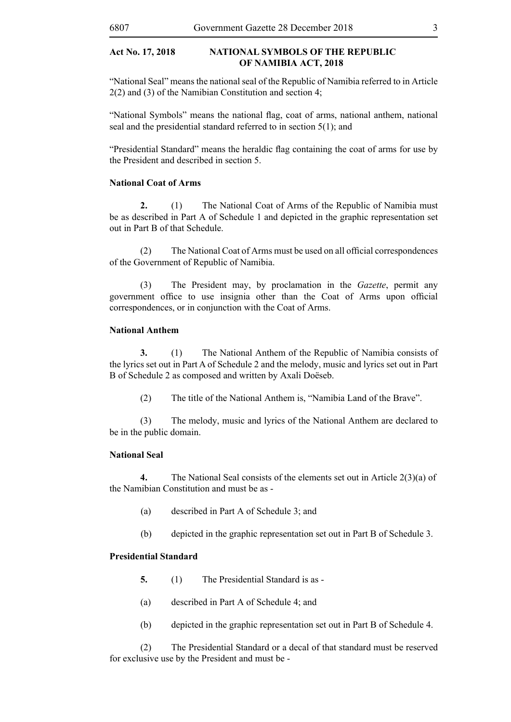"National Seal" means the national seal of the Republic of Namibia referred to in Article 2(2) and (3) of the Namibian Constitution and section 4;

"National Symbols" means the national flag, coat of arms, national anthem, national seal and the presidential standard referred to in section 5(1); and

"Presidential Standard" means the heraldic flag containing the coat of arms for use by the President and described in section 5.

# **National Coat of Arms**

**2.** (1) The National Coat of Arms of the Republic of Namibia must be as described in Part A of Schedule 1 and depicted in the graphic representation set out in Part B of that Schedule.

 (2) The National Coat of Arms must be used on all official correspondences of the Government of Republic of Namibia.

(3) The President may, by proclamation in the *Gazette*, permit any government office to use insignia other than the Coat of Arms upon official correspondences, or in conjunction with the Coat of Arms.

# **National Anthem**

**3.** (1) The National Anthem of the Republic of Namibia consists of the lyrics set out in Part A of Schedule 2 and the melody, music and lyrics set out in Part B of Schedule 2 as composed and written by Axali Doëseb.

(2) The title of the National Anthem is, "Namibia Land of the Brave".

(3) The melody, music and lyrics of the National Anthem are declared to be in the public domain.

# **National Seal**

**4.** The National Seal consists of the elements set out in Article 2(3)(a) of the Namibian Constitution and must be as -

- (a) described in Part A of Schedule 3; and
- (b) depicted in the graphic representation set out in Part B of Schedule 3.

#### **Presidential Standard**

- **5.** (1) The Presidential Standard is as -
- (a) described in Part A of Schedule 4; and
- (b) depicted in the graphic representation set out in Part B of Schedule 4.

(2) The Presidential Standard or a decal of that standard must be reserved for exclusive use by the President and must be -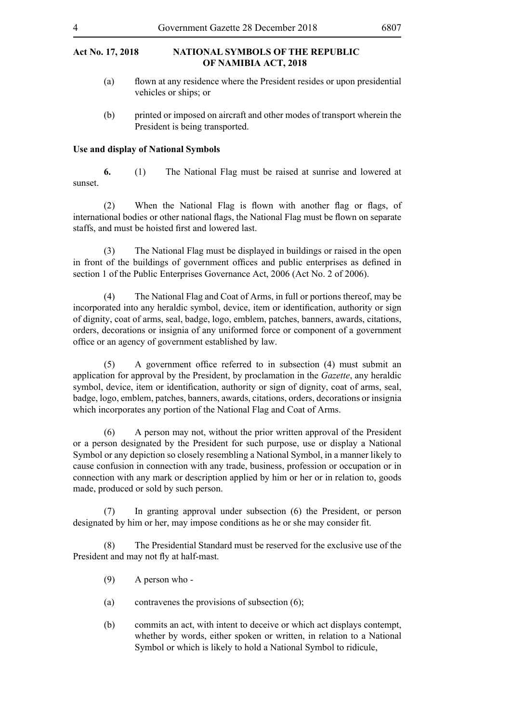- (a) flown at any residence where the President resides or upon presidential vehicles or ships; or
- (b) printed or imposed on aircraft and other modes of transport wherein the President is being transported.

# **Use and display of National Symbols**

**6.** (1) The National Flag must be raised at sunrise and lowered at sunset.

(2) When the National Flag is flown with another flag or flags, of international bodies or other national flags, the National Flag must be flown on separate staffs, and must be hoisted first and lowered last.

(3) The National Flag must be displayed in buildings or raised in the open in front of the buildings of government offices and public enterprises as defined in section 1 of the Public Enterprises Governance Act, 2006 (Act No. 2 of 2006).

(4) The National Flag and Coat of Arms, in full or portions thereof, may be incorporated into any heraldic symbol, device, item or identification, authority or sign of dignity, coat of arms, seal, badge, logo, emblem, patches, banners, awards, citations, orders, decorations or insignia of any uniformed force or component of a government office or an agency of government established by law.

(5) A government office referred to in subsection (4) must submit an application for approval by the President, by proclamation in the *Gazette*, any heraldic symbol, device, item or identification, authority or sign of dignity, coat of arms, seal, badge, logo, emblem, patches, banners, awards, citations, orders, decorations or insignia which incorporates any portion of the National Flag and Coat of Arms.

(6) A person may not, without the prior written approval of the President or a person designated by the President for such purpose, use or display a National Symbol or any depiction so closely resembling a National Symbol, in a manner likely to cause confusion in connection with any trade, business, profession or occupation or in connection with any mark or description applied by him or her or in relation to, goods made, produced or sold by such person.

(7) In granting approval under subsection (6) the President, or person designated by him or her, may impose conditions as he or she may consider fit.

(8) The Presidential Standard must be reserved for the exclusive use of the President and may not fly at half-mast.

- (9) A person who -
- (a) contravenes the provisions of subsection (6);
- (b) commits an act, with intent to deceive or which act displays contempt, whether by words, either spoken or written, in relation to a National Symbol or which is likely to hold a National Symbol to ridicule,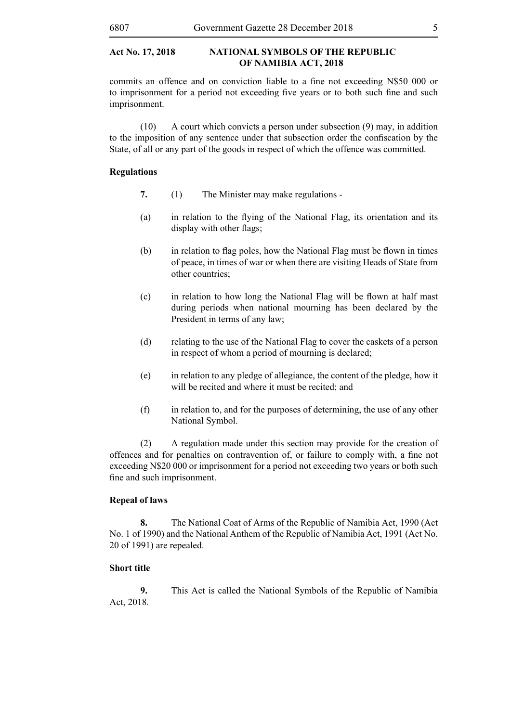commits an offence and on conviction liable to a fine not exceeding N\$50 000 or to imprisonment for a period not exceeding five years or to both such fine and such imprisonment.

(10) A court which convicts a person under subsection (9) may, in addition to the imposition of any sentence under that subsection order the confiscation by the State, of all or any part of the goods in respect of which the offence was committed.

# **Regulations**

- **7.** (1) The Minister may make regulations -
- (a) in relation to the flying of the National Flag, its orientation and its display with other flags;
- (b) in relation to flag poles, how the National Flag must be flown in times of peace, in times of war or when there are visiting Heads of State from other countries;
- (c) in relation to how long the National Flag will be flown at half mast during periods when national mourning has been declared by the President in terms of any law;
- (d) relating to the use of the National Flag to cover the caskets of a person in respect of whom a period of mourning is declared;
- (e) in relation to any pledge of allegiance, the content of the pledge, how it will be recited and where it must be recited; and
- (f) in relation to, and for the purposes of determining, the use of any other National Symbol.

(2) A regulation made under this section may provide for the creation of offences and for penalties on contravention of, or failure to comply with, a fine not exceeding N\$20 000 or imprisonment for a period not exceeding two years or both such fine and such imprisonment.

# **Repeal of laws**

**8.** The National Coat of Arms of the Republic of Namibia Act, 1990 (Act No. 1 of 1990) and the National Anthem of the Republic of Namibia Act, 1991 (Act No. 20 of 1991) are repealed.

# **Short title**

**9.** This Act is called the National Symbols of the Republic of Namibia Act, 2018*.*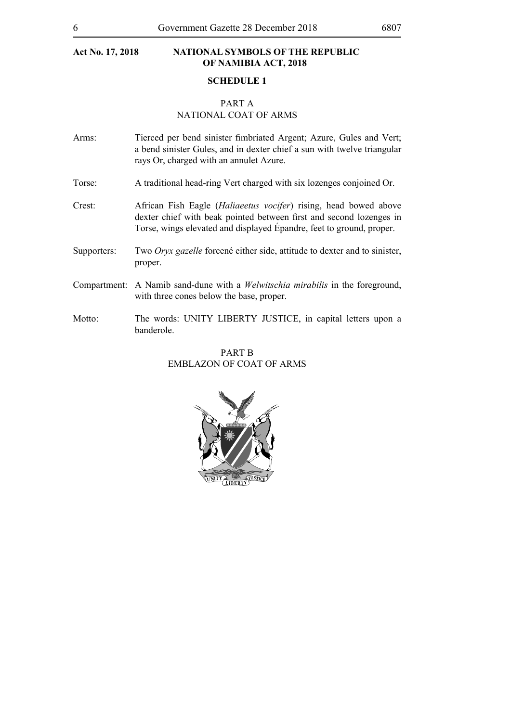# **SCHEDULE 1**

#### PART A NATIONAL COAT OF ARMS

- Arms: Tierced per bend sinister fimbriated Argent; Azure, Gules and Vert; a bend sinister Gules, and in dexter chief a sun with twelve triangular rays Or, charged with an annulet Azure.
- Torse: A traditional head-ring Vert charged with six lozenges conjoined Or.
- Crest: African Fish Eagle (*Haliaeetus vocifer*) rising, head bowed above dexter chief with beak pointed between first and second lozenges in Torse, wings elevated and displayed Épandre, feet to ground, proper.
- Supporters: Two *Oryx gazelle* forcené either side, attitude to dexter and to sinister, proper.
- Compartment: A Namib sand-dune with a *Welwitschia mirabilis* in the foreground, with three cones below the base, proper.
- Motto: The words: UNITY LIBERTY JUSTICE, in capital letters upon a banderole.

# PART B EMBLAZON OF COAT OF ARMS

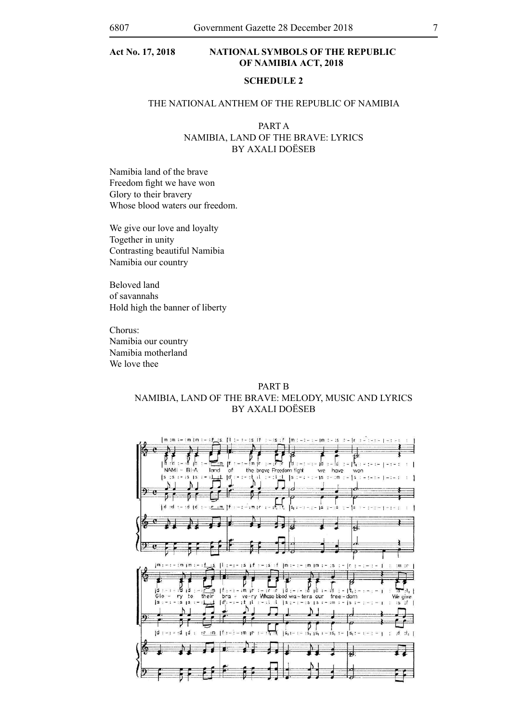# **SCHEDULE 2**

## THE NATIONAL ANTHEM OF THE REPUBLIC OF NAMIBIA

PART A Namibia, Land of the Brave: Lyrics By Axali Doëseb

Namibia land of the brave Freedom fight we have won Glory to their bravery Whose blood waters our freedom.

We give our love and loyalty Together in unity Contrasting beautiful Namibia Namibia our country

Beloved land of savannahs Hold high the banner of liberty

Chorus: Namibia our country Namibia motherland We love thee

# PART **B** Namibia, Land of the Brave: MELODY, Music and Lyrics BY AXALI DOËSEB

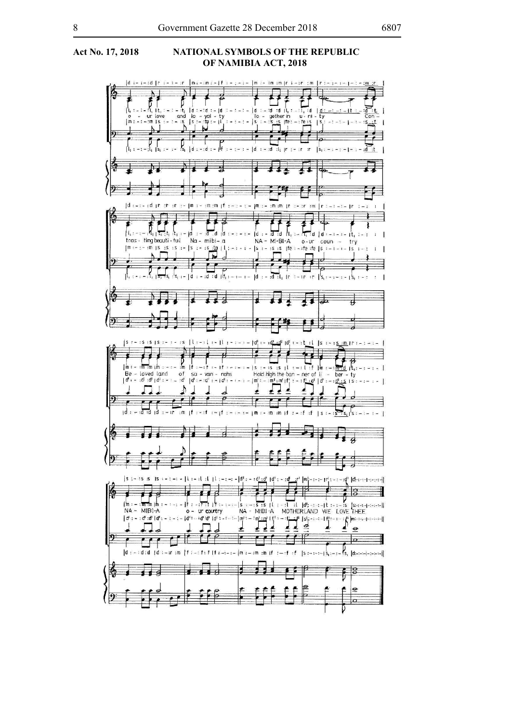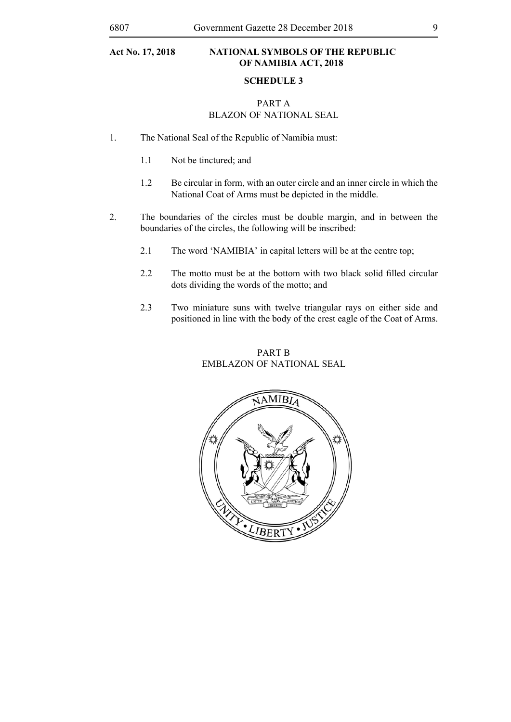#### **NATIONAL SYMBOLS OF THE REPUBLIC OF NAMIBIA ACT, 2018** Act No. 17, 2018

## **SCHEDULE 3**

# PART A BLAZON OF NATIONAL SEAL

- 1. The National Seal of the Republic of Namibia must:
	- 1.1 Not be tinctured; and
- 1.2 Be circular in form, with an outer circle and an inner circle in which the National Coat of Arms must be depicted in the middle.
- 2. The boundaries of the circles must be double margin, and in between the boundaries of the circles, the following will be inscribed:
	- 2.1 The word 'NAMIBIA' in capital letters will be at the centre top;
- 2.2 The motto must be at the bottom with two black solid filled circular dots dividing the words of the motto; and
	- 2.3 Two miniature suns with twelve triangular rays on either side and positioned in line with the body of the crest eagle of the Coat of Arms.

# PART B EMBLAZON OF NATIONAL SEAL **EMBLAZON OF NATIONAL SEAL**